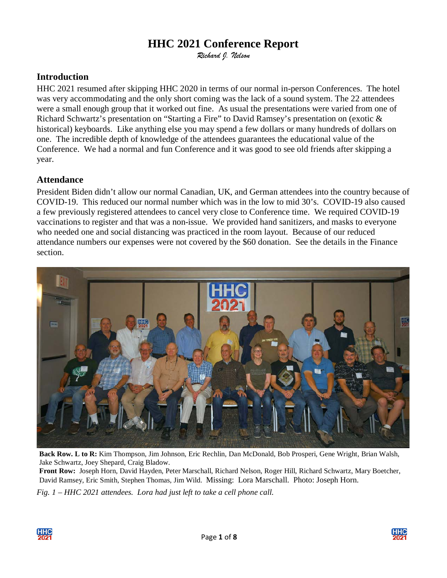# **HHC 2021 Conference Report**

*Richard J. Nelson*

### **Introduction**

HHC 2021 resumed after skipping HHC 2020 in terms of our normal in-person Conferences. The hotel was very accommodating and the only short coming was the lack of a sound system. The 22 attendees were a small enough group that it worked out fine. As usual the presentations were varied from one of Richard Schwartz's presentation on "Starting a Fire" to David Ramsey's presentation on (exotic & historical) keyboards. Like anything else you may spend a few dollars or many hundreds of dollars on one. The incredible depth of knowledge of the attendees guarantees the educational value of the Conference. We had a normal and fun Conference and it was good to see old friends after skipping a year.

### **Attendance**

President Biden didn't allow our normal Canadian, UK, and German attendees into the country because of COVID-19. This reduced our normal number which was in the low to mid 30's. COVID-19 also caused a few previously registered attendees to cancel very close to Conference time. We required COVID-19 vaccinations to register and that was a non-issue. We provided hand sanitizers, and masks to everyone who needed one and social distancing was practiced in the room layout. Because of our reduced attendance numbers our expenses were not covered by the \$60 donation. See the details in the Finance section.



**Back Row. L to R:** Kim Thompson, Jim Johnson, Eric Rechlin, Dan McDonald, Bob Prosperi, Gene Wright, Brian Walsh, Jake Schwartz, Joey Shepard, Craig Bladow.

**Front Row:** Joseph Horn, David Hayden, Peter Marschall, Richard Nelson, Roger Hill, Richard Schwartz, Mary Boetcher, David Ramsey, Eric Smith, Stephen Thomas, Jim Wild. Missing: Lora Marschall. Photo: Joseph Horn.

*Fig. 1 – HHC 2021 attendees. Lora had just left to take a cell phone call.*



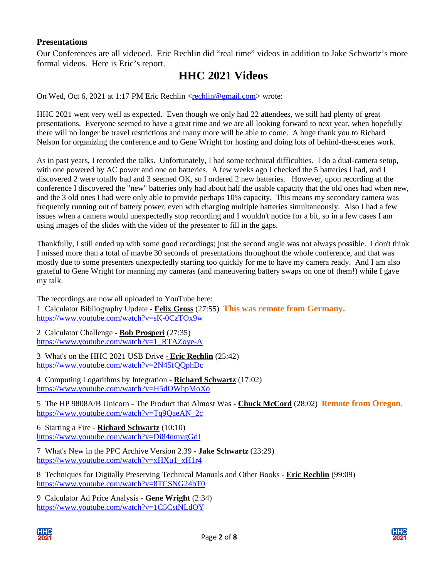#### **Presentations**

Our Conferences are all videoed. Eric Rechlin did "real time" videos in addition to Jake Schwartz's more formal videos. Here is Eric's report.

## **HHC 2021 Videos**

On Wed, Oct 6, 2021 at 1:17 PM Eric Rechlin [<rechlin@gmail.com>](mailto:rechlin@gmail.com) wrote:

HHC 2021 went very well as expected. Even though we only had 22 attendees, we still had plenty of great presentations. Everyone seemed to have a great time and we are all looking forward to next year, when hopefully there will no longer be travel restrictions and many more will be able to come. A huge thank you to Richard Nelson for organizing the conference and to Gene Wright for hosting and doing lots of behind-the-scenes work.

As in past years, I recorded the talks. Unfortunately, I had some technical difficulties. I do a dual-camera setup, with one powered by AC power and one on batteries. A few weeks ago I checked the 5 batteries I had, and I discovered 2 were totally bad and 3 seemed OK, so I ordered 2 new batteries. However, upon recording at the conference I discovered the "new" batteries only had about half the usable capacity that the old ones had when new, and the 3 old ones I had were only able to provide perhaps 10% capacity. This means my secondary camera was frequently running out of battery power, even with charging multiple batteries simultaneously. Also I had a few issues when a camera would unexpectedly stop recording and I wouldn't notice for a bit, so in a few cases I am using images of the slides with the video of the presenter to fill in the gaps.

Thankfully, I still ended up with some good recordings; just the second angle was not always possible. I don't think I missed more than a total of maybe 30 seconds of presentations throughout the whole conference, and that was mostly due to some presenters unexpectedly starting too quickly for me to have my camera ready. And I am also grateful to Gene Wright for manning my cameras (and maneuvering battery swaps on one of them!) while I gave my talk.

The recordings are now all uploaded to YouTube here: 1 Calculator Bibliography Update - **Felix Gross** (27:55) **This was remote from Germany.** <https://www.youtube.com/watch?v=sK-0CzTOx9w>

2 Calculator Challenge - **Bob Prosperi** (27:35) [https://www.youtube.com/watch?v=1\\_RTAZoye-A](https://www.youtube.com/watch?v=1_RTAZoye-A)

3 What's on the HHC 2021 USB Drive **- Eric Rechlin** (25:42) <https://www.youtube.com/watch?v=2N45fQQphDc>

4 Computing Logarithms by Integration - **Richard Schwartz** (17:02) <https://www.youtube.com/watch?v=H5dOWhpMoXo>

5 The HP 9808A/B Unicorn - The Product that Almost Was - **Chuck McCord** (28:02) **Remote from Oregon.** [https://www.youtube.com/watch?v=Tq9QaeAN\\_2c](https://www.youtube.com/watch?v=Tq9QaeAN_2c)

6 Starting a Fire - **Richard Schwartz** (10:10) <https://www.youtube.com/watch?v=Di84nmvgGdI>

7 What's New in the PPC Archive Version 2.39 - **Jake Schwartz** (23:29) [https://www.youtube.com/watch?v=xHXu1\\_xH1r4](https://www.youtube.com/watch?v=xHXu1_xH1r4)

8 Techniques for Digitally Preserving Technical Manuals and Other Books - **Eric Rechlin** (99:09) <https://www.youtube.com/watch?v=8TCSNG24bT0>

9 Calculator Ad Price Analysis - **Gene Wright** (2:34) <https://www.youtube.com/watch?v=1C5CstNLdOY>



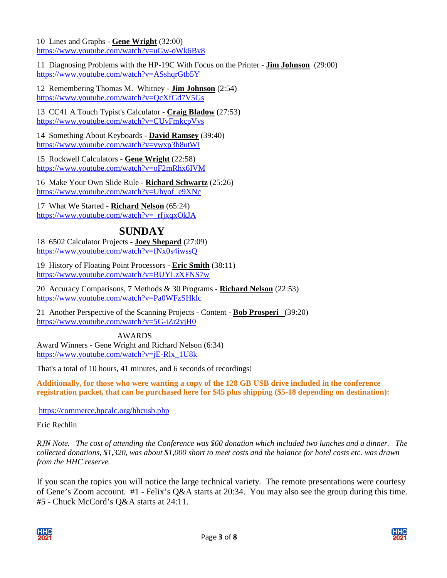10 Lines and Graphs - **Gene Wright** (32:00) <https://www.youtube.com/watch?v=uGw-oWk6Bv8>

11 Diagnosing Problems with the HP-19C With Focus on the Printer - **Jim Johnson** (29:00) <https://www.youtube.com/watch?v=ASshqrGtb5Y>

12 Remembering Thomas M. Whitney - **Jim Johnson** (2:54) <https://www.youtube.com/watch?v=QcXfGd7V5Gs>

13 CC41 A Touch Typist's Calculator - **Craig Bladow** (27:53) <https://www.youtube.com/watch?v=CUvFmkcpVys>

14 Something About Keyboards - **David Ramsey** (39:40) <https://www.youtube.com/watch?v=vwxp3b8utWI>

15 Rockwell Calculators - **Gene Wright** (22:58) <https://www.youtube.com/watch?v=oF2mRhx6IVM>

16 Make Your Own Slide Rule - **Richard Schwartz** (25:26) [https://www.youtube.com/watch?v=Uhyof\\_e9XNc](https://www.youtube.com/watch?v=Uhyof_e9XNc)

17 What We Started - **Richard Nelson** (65:24) [https://www.youtube.com/watch?v=\\_rfjxqxOkJA](https://www.youtube.com/watch?v=_rfjxqxOkJA)

## **SUNDAY**

18 6502 Calculator Projects - **Joey Shepard** (27:09) <https://www.youtube.com/watch?v=fNx0s4iwssQ>

19 History of Floating Point Processors - **Eric Smith** (38:11) <https://www.youtube.com/watch?v=BUYLzXFNS7w>

20 Accuracy Comparisons, 7 Methods & 30 Programs - **Richard Nelson** (22:53) <https://www.youtube.com/watch?v=Pa0WFzSHklc>

21 Another Perspective of the Scanning Projects - Content - **Bob Prosperi** (39:20) <https://www.youtube.com/watch?v=5G-iZr2yjH0>

 AWARDS Award Winners - Gene Wright and Richard Nelson (6:34) [https://www.youtube.com/watch?v=jE-Rlx\\_1U8k](https://www.youtube.com/watch?v=jE-Rlx_1U8k)

That's a total of 10 hours, 41 minutes, and 6 seconds of recordings!

**Additionally, for those who were wanting a copy of the 128 GB USB drive included in the conference registration packet, that can be purchased here for \$45 plus shipping (\$5-18 depending on destination):** 

<https://commerce.hpcalc.org/hhcusb.php>

Eric Rechlin

*RJN Note. The cost of attending the Conference was \$60 donation which included two lunches and a dinner. The collected donations, \$1,320, was about \$1,000 short to meet costs and the balance for hotel costs etc. was drawn from the HHC reserve.*

If you scan the topics you will notice the large technical variety. The remote presentations were courtesy of Gene's Zoom account. #1 - Felix's Q&A starts at 20:34. You may also see the group during this time. #5 - Chuck McCord's Q&A starts at 24:11.



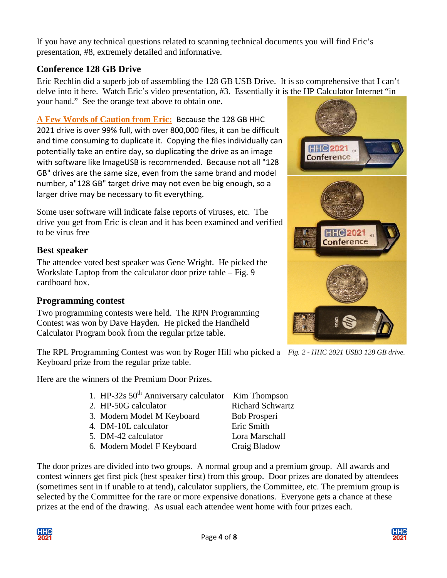If you have any technical questions related to scanning technical documents you will find Eric's presentation, #8, extremely detailed and informative.

### **Conference 128 GB Drive**

Eric Rechlin did a superb job of assembling the 128 GB USB Drive. It is so comprehensive that I can't delve into it here. Watch Eric's video presentation, #3. Essentially it is the HP Calculator Internet "in your hand." See the orange text above to obtain one.

**A Few Words of Caution from Eric:** Because the 128 GB HHC 2021 drive is over 99% full, with over 800,000 files, it can be difficult and time consuming to duplicate it. Copying the files individually can potentially take an entire day, so duplicating the drive as an image with software like ImageUSB is recommended. Because not all "128 GB" drives are the same size, even from the same brand and model number, a"128 GB" target drive may not even be big enough, so a larger drive may be necessary to fit everything.

Some user software will indicate false reports of viruses, etc. The drive you get from Eric is clean and it has been examined and verified to be virus free

### **Best speaker**

The attendee voted best speaker was Gene Wright. He picked the Workslate Laptop from the calculator door prize table – Fig. 9 cardboard box.

#### **Programming contest**

Two programming contests were held. The RPN Programming Contest was won by Dave Hayden. He picked the Handheld Calculator Program book from the regular prize table.

The RPL Programming Contest was won by Roger Hill who picked a *Fig. 2 - HHC 2021 USB3 128 GB drive.* Keyboard prize from the regular prize table.

Here are the winners of the Premium Door Prizes.

- 1. HP-32s  $50<sup>th</sup>$  Anniversary calculator Kim Thompson
- 2. HP-50G calculator Richard Schwartz
- 3. Modern Model M Keyboard Bob Prosperi
- 4. DM-10L calculator Eric Smith
- 5. DM-42 calculator Lora Marschall
- 6. Modern Model F Keyboard Craig Bladow

The door prizes are divided into two groups. A normal group and a premium group. All awards and contest winners get first pick (best speaker first) from this group. Door prizes are donated by attendees (sometimes sent in if unable to at tend), calculator suppliers, the Committee, etc. The premium group is selected by the Committee for the rare or more expensive donations. Everyone gets a chance at these prizes at the end of the drawing. As usual each attendee went home with four prizes each.





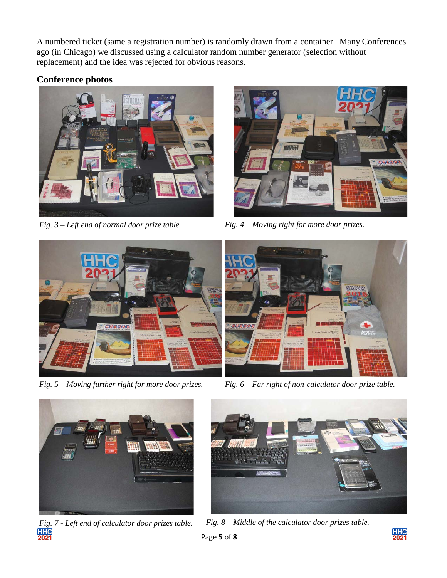A numbered ticket (same a registration number) is randomly drawn from a container. Many Conferences ago (in Chicago) we discussed using a calculator random number generator (selection without replacement) and the idea was rejected for obvious reasons.

## **Conference photos**



*Fig. 3 – Left end of normal door prize table. Fig. 4 – Moving right for more door prizes.*







*Fig. 5 – Moving further right for more door prizes. Fig. 6 – Far right of non-calculator door prize table.*



<u>HHC</u>



*Fig. 7 - Left end of calculator door prizes table. Fig. 8 – Middle of the calculator door prizes table.*

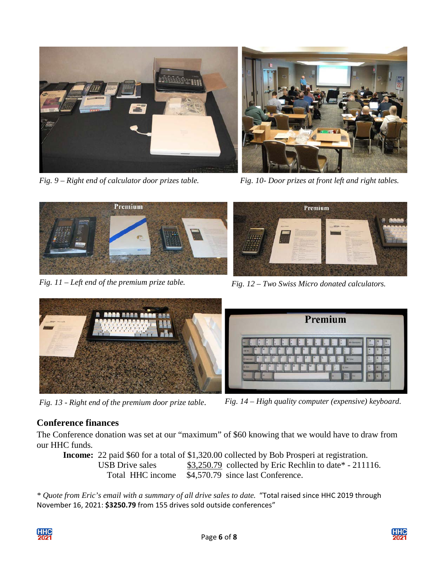

*Fig. 9 – Right end of calculator door prizes table. Fig. 10- Door prizes at front left and right tables.*





*Fig. 11 – Left end of the premium prize table. Fig. 12 – Two Swiss Micro donated calculators.*



*Fig. 13 - Right end of the premium door prize table*. *Fig. 14 – High quality computer (expensive) keyboard.*

## **Conference finances**

The Conference donation was set at our "maximum" of \$60 knowing that we would have to draw from our HHC funds.

**Income:** 22 paid \$60 for a total of \$1,320.00 collected by Bob Prosperi at registration. USB Drive sales \$3,250.79 collected by Eric Rechlin to date\* - 211116. Total HHC income \$4,570.79 since last Conference.

*\* Quote from Eric's email with a summary of all drive sales to date.* "Total raised since HHC 2019 through November 16, 2021: **\$3250.79** from 155 drives sold outside conferences"



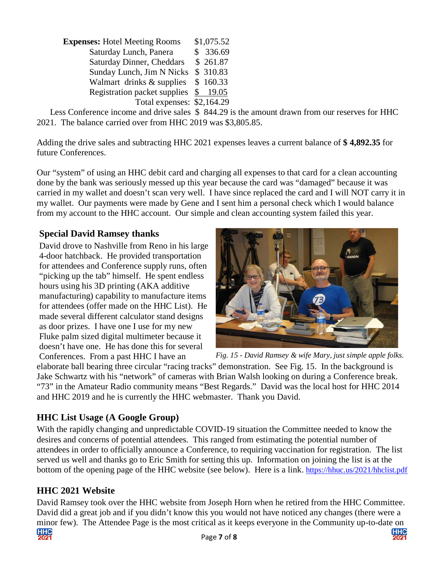| <b>Expenses:</b> Hotel Meeting Rooms | \$1,075.52 |
|--------------------------------------|------------|
| Saturday Lunch, Panera               | \$336.69   |
| <b>Saturday Dinner, Cheddars</b>     | \$261.87   |
| Sunday Lunch, Jim N Nicks            | \$ 310.83  |
| Walmart drinks & supplies            | \$160.33   |
| Registration packet supplies \$19.05 |            |
| Total expenses: \$2,164.29           |            |

 Less Conference income and drive sales \$ 844.29 is the amount drawn from our reserves for HHC 2021. The balance carried over from HHC 2019 was \$3,805.85.

Adding the drive sales and subtracting HHC 2021 expenses leaves a current balance of **\$ 4,892.35** for future Conferences.

Our "system" of using an HHC debit card and charging all expenses to that card for a clean accounting done by the bank was seriously messed up this year because the card was "damaged" because it was carried in my wallet and doesn't scan very well. I have since replaced the card and I will NOT carry it in my wallet. Our payments were made by Gene and I sent him a personal check which I would balance from my account to the HHC account. Our simple and clean accounting system failed this year.

#### **Special David Ramsey thanks**

David drove to Nashville from Reno in his large 4-door hatchback. He provided transportation for attendees and Conference supply runs, often "picking up the tab" himself. He spent endless hours using his 3D printing (AKA additive manufacturing) capability to manufacture items for attendees (offer made on the HHC List). He made several different calculator stand designs as door prizes. I have one I use for my new Fluke palm sized digital multimeter because it doesn't have one. He has done this for several



Conferences. From a past HHC I have an *Fig. 15 - David Ramsey & wife Mary, just simple apple folks.*

elaborate ball bearing three circular "racing tracks" demonstration. See Fig. 15. In the background is Jake Schwartz with his "network" of cameras with Brian Walsh looking on during a Conference break. "73" in the Amateur Radio community means "Best Regards." David was the local host for HHC 2014 and HHC 2019 and he is currently the HHC webmaster. Thank you David.

#### **HHC List Usage (A Google Group)**

With the rapidly changing and unpredictable COVID-19 situation the Committee needed to know the desires and concerns of potential attendees. This ranged from estimating the potential number of attendees in order to officially announce a Conference, to requiring vaccination for registration. The list served us well and thanks go to Eric Smith for setting this up. Information on joining the list is at the bottom of the opening page of the HHC website (see below). Here is a link.<https://hhuc.us/2021/hhclist.pdf>

#### **HHC 2021 Website**

 Page **7** of **8**  David Ramsey took over the HHC website from Joseph Horn when he retired from the HHC Committee. David did a great job and if you didn't know this you would not have noticed any changes (there were a minor few). The Attendee Page is the most critical as it keeps everyone in the Community up-to-date on